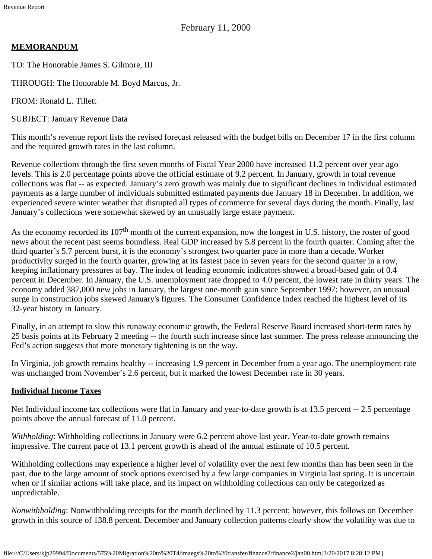February 11, 2000

## **MEMORANDUM**

TO: The Honorable James S. Gilmore, III

THROUGH: The Honorable M. Boyd Marcus, Jr.

FROM: Ronald L. Tillett

SUBJECT: January Revenue Data

This month's revenue report lists the revised forecast released with the budget bills on December 17 in the first column and the required growth rates in the last column.

Revenue collections through the first seven months of Fiscal Year 2000 have increased 11.2 percent over year ago levels. This is 2.0 percentage points above the official estimate of 9.2 percent. In January, growth in total revenue collections was flat -- as expected. January's zero growth was mainly due to significant declines in individual estimated payments as a large number of individuals submitted estimated payments due January 18 in December. In addition, we experienced severe winter weather that disrupted all types of commerce for several days during the month. Finally, last January's collections were somewhat skewed by an unusually large estate payment.

As the economy recorded its  $107<sup>th</sup>$  month of the current expansion, now the longest in U.S. history, the roster of good news about the recent past seems boundless. Real GDP increased by 5.8 percent in the fourth quarter. Coming after the third quarter's 5.7 percent burst, it is the economy's strongest two quarter pace in more than a decade. Worker productivity surged in the fourth quarter, growing at its fastest pace in seven years for the second quarter in a row, keeping inflationary pressures at bay. The index of leading economic indicators showed a broad-based gain of 0.4 percent in December. In January, the U.S. unemployment rate dropped to 4.0 percent, the lowest rate in thirty years. The economy added 387,000 new jobs in January, the largest one-month gain since September 1997; however, an unusual surge in construction jobs skewed January's figures. The Consumer Confidence Index reached the highest level of its 32-year history in January.

Finally, in an attempt to slow this runaway economic growth, the Federal Reserve Board increased short-term rates by 25 basis points at its February 2 meeting -- the fourth such increase since last summer. The press release announcing the Fed's action suggests that more monetary tightening is on the way.

In Virginia, job growth remains healthy -- increasing 1.9 percent in December from a year ago. The unemployment rate was unchanged from November's 2.6 percent, but it marked the lowest December rate in 30 years.

#### **Individual Income Taxes**

Net Individual income tax collections were flat in January and year-to-date growth is at 13.5 percent -- 2.5 percentage points above the annual forecast of 11.0 percent.

*Withholding*: Withholding collections in January were 6.2 percent above last year. Year-to-date growth remains impressive. The current pace of 13.1 percent growth is ahead of the annual estimate of 10.5 percent.

Withholding collections may experience a higher level of volatility over the next few months than has been seen in the past, due to the large amount of stock options exercised by a few large companies in Virginia last spring. It is uncertain when or if similar actions will take place, and its impact on withholding collections can only be categorized as unpredictable.

*Nonwithholding*: Nonwithholding receipts for the month declined by 11.3 percent; however, this follows on December growth in this source of 138.8 percent. December and January collection patterns clearly show the volatility was due to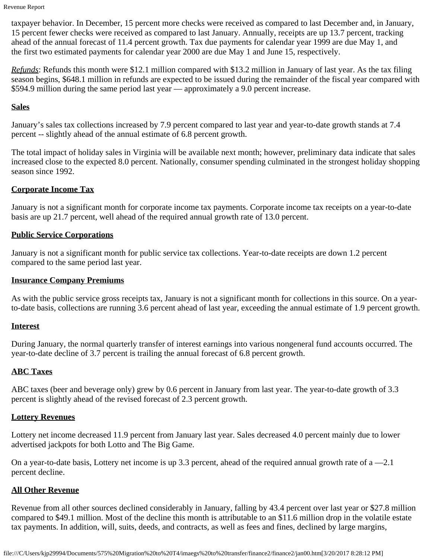Revenue Report

taxpayer behavior. In December, 15 percent more checks were received as compared to last December and, in January, 15 percent fewer checks were received as compared to last January. Annually, receipts are up 13.7 percent, tracking ahead of the annual forecast of 11.4 percent growth. Tax due payments for calendar year 1999 are due May 1, and the first two estimated payments for calendar year 2000 are due May 1 and June 15, respectively.

*Refunds*: Refunds this month were \$12.1 million compared with \$13.2 million in January of last year. As the tax filing season begins, \$648.1 million in refunds are expected to be issued during the remainder of the fiscal year compared with \$594.9 million during the same period last year — approximately a 9.0 percent increase.

### **Sales**

January's sales tax collections increased by 7.9 percent compared to last year and year-to-date growth stands at 7.4 percent -- slightly ahead of the annual estimate of 6.8 percent growth.

The total impact of holiday sales in Virginia will be available next month; however, preliminary data indicate that sales increased close to the expected 8.0 percent. Nationally, consumer spending culminated in the strongest holiday shopping season since 1992.

## **Corporate Income Tax**

January is not a significant month for corporate income tax payments. Corporate income tax receipts on a year-to-date basis are up 21.7 percent, well ahead of the required annual growth rate of 13.0 percent.

# **Public Service Corporations**

January is not a significant month for public service tax collections. Year-to-date receipts are down 1.2 percent compared to the same period last year.

### **Insurance Company Premiums**

As with the public service gross receipts tax, January is not a significant month for collections in this source. On a yearto-date basis, collections are running 3.6 percent ahead of last year, exceeding the annual estimate of 1.9 percent growth.

# **Interest**

During January, the normal quarterly transfer of interest earnings into various nongeneral fund accounts occurred. The year-to-date decline of 3.7 percent is trailing the annual forecast of 6.8 percent growth.

# **ABC Taxes**

ABC taxes (beer and beverage only) grew by 0.6 percent in January from last year. The year-to-date growth of 3.3 percent is slightly ahead of the revised forecast of 2.3 percent growth.

#### **Lottery Revenues**

Lottery net income decreased 11.9 percent from January last year. Sales decreased 4.0 percent mainly due to lower advertised jackpots for both Lotto and The Big Game.

On a year-to-date basis, Lottery net income is up 3.3 percent, ahead of the required annual growth rate of  $a = 2.1$ percent decline.

#### **All Other Revenue**

Revenue from all other sources declined considerably in January, falling by 43.4 percent over last year or \$27.8 million compared to \$49.1 million. Most of the decline this month is attributable to an \$11.6 million drop in the volatile estate tax payments. In addition, will, suits, deeds, and contracts, as well as fees and fines, declined by large margins,